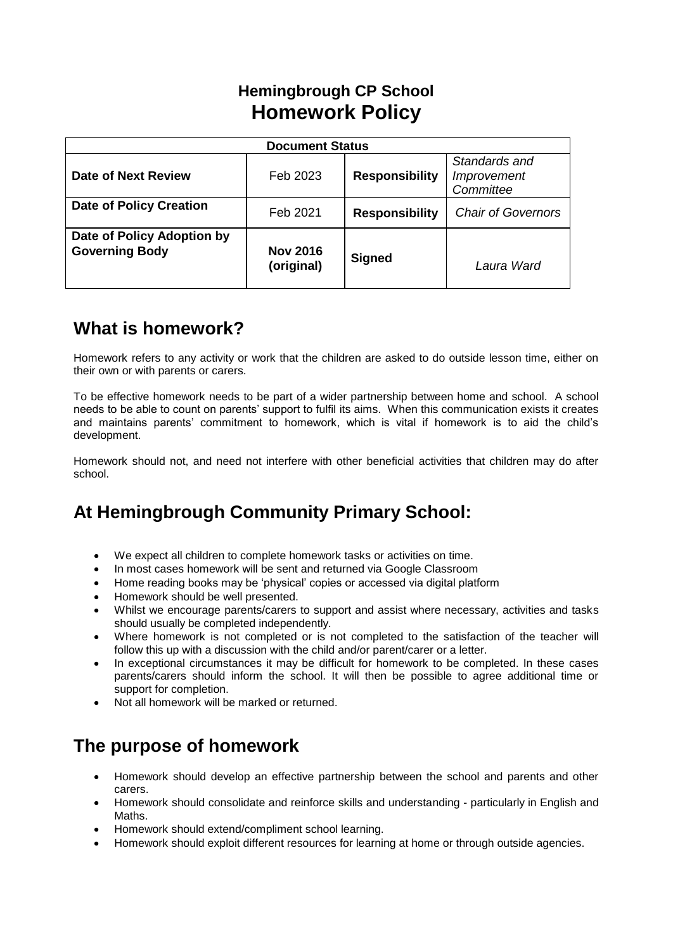# **Hemingbrough CP School Homework Policy**

| <b>Document Status</b>                              |                               |                       |                                           |  |
|-----------------------------------------------------|-------------------------------|-----------------------|-------------------------------------------|--|
| Date of Next Review                                 | Feb 2023                      | <b>Responsibility</b> | Standards and<br>Improvement<br>Committee |  |
| <b>Date of Policy Creation</b>                      | Feb 2021                      | <b>Responsibility</b> | <b>Chair of Governors</b>                 |  |
| Date of Policy Adoption by<br><b>Governing Body</b> | <b>Nov 2016</b><br>(original) | <b>Signed</b>         | Laura Ward                                |  |

# **What is homework?**

Homework refers to any activity or work that the children are asked to do outside lesson time, either on their own or with parents or carers.

To be effective homework needs to be part of a wider partnership between home and school. A school needs to be able to count on parents' support to fulfil its aims. When this communication exists it creates and maintains parents' commitment to homework, which is vital if homework is to aid the child's development.

Homework should not, and need not interfere with other beneficial activities that children may do after school.

# **At Hemingbrough Community Primary School:**

- We expect all children to complete homework tasks or activities on time.
- In most cases homework will be sent and returned via Google Classroom
- Home reading books may be 'physical' copies or accessed via digital platform
- Homework should be well presented.
- Whilst we encourage parents/carers to support and assist where necessary, activities and tasks should usually be completed independently.
- Where homework is not completed or is not completed to the satisfaction of the teacher will follow this up with a discussion with the child and/or parent/carer or a letter.
- In exceptional circumstances it may be difficult for homework to be completed. In these cases parents/carers should inform the school. It will then be possible to agree additional time or support for completion.
- Not all homework will be marked or returned.

# **The purpose of homework**

- Homework should develop an effective partnership between the school and parents and other carers.
- Homework should consolidate and reinforce skills and understanding particularly in English and Maths.
- Homework should extend/compliment school learning.
- Homework should exploit different resources for learning at home or through outside agencies.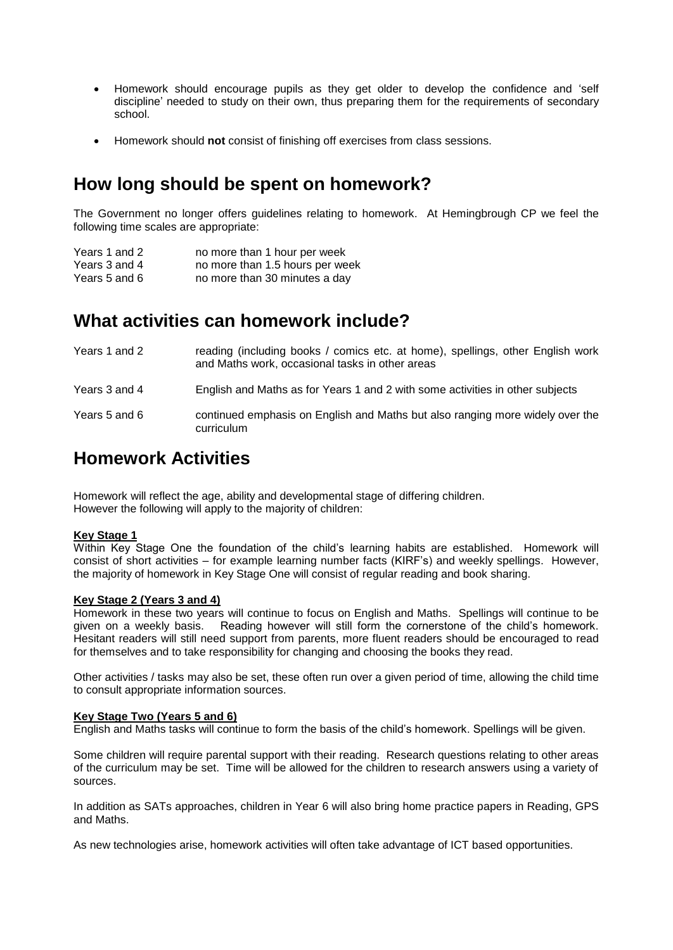- Homework should encourage pupils as they get older to develop the confidence and 'self discipline' needed to study on their own, thus preparing them for the requirements of secondary school.
- Homework should **not** consist of finishing off exercises from class sessions.

## **How long should be spent on homework?**

The Government no longer offers guidelines relating to homework. At Hemingbrough CP we feel the following time scales are appropriate:

| Years 1 and 2 | no more than 1 hour per week    |
|---------------|---------------------------------|
| Years 3 and 4 | no more than 1.5 hours per week |
| Years 5 and 6 | no more than 30 minutes a day   |

### **What activities can homework include?**

| Years 1 and 2 | reading (including books / comics etc. at home), spellings, other English work<br>and Maths work, occasional tasks in other areas |
|---------------|-----------------------------------------------------------------------------------------------------------------------------------|
| Years 3 and 4 | English and Maths as for Years 1 and 2 with some activities in other subjects                                                     |
| Years 5 and 6 | continued emphasis on English and Maths but also ranging more widely over the<br>curriculum                                       |

### **Homework Activities**

Homework will reflect the age, ability and developmental stage of differing children. However the following will apply to the majority of children:

### **Key Stage 1**

Within Key Stage One the foundation of the child's learning habits are established. Homework will consist of short activities – for example learning number facts (KIRF's) and weekly spellings. However, the majority of homework in Key Stage One will consist of regular reading and book sharing.

#### **Key Stage 2 (Years 3 and 4)**

Homework in these two years will continue to focus on English and Maths. Spellings will continue to be given on a weekly basis. Reading however will still form the cornerstone of the child's homework. Hesitant readers will still need support from parents, more fluent readers should be encouraged to read for themselves and to take responsibility for changing and choosing the books they read.

Other activities / tasks may also be set, these often run over a given period of time, allowing the child time to consult appropriate information sources.

### **Key Stage Two (Years 5 and 6)**

English and Maths tasks will continue to form the basis of the child's homework. Spellings will be given.

Some children will require parental support with their reading. Research questions relating to other areas of the curriculum may be set. Time will be allowed for the children to research answers using a variety of sources.

In addition as SATs approaches, children in Year 6 will also bring home practice papers in Reading, GPS and Maths.

As new technologies arise, homework activities will often take advantage of ICT based opportunities.